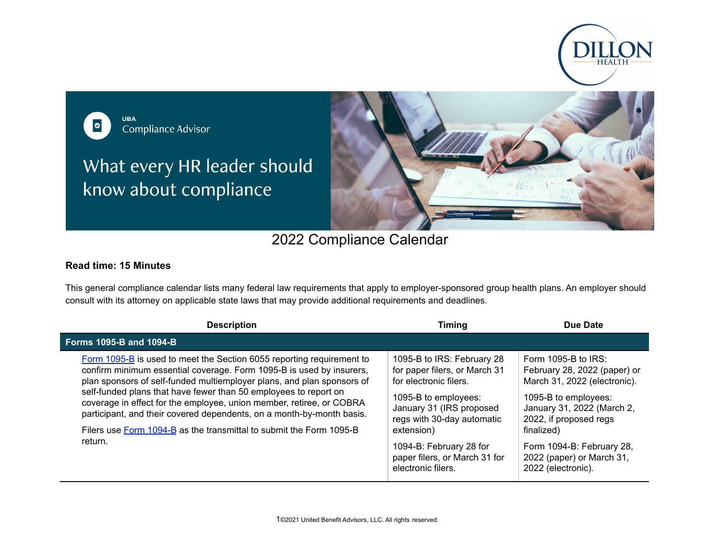

**UBA**  $\bullet$ Compliance Advisor

What every HR leader should know about compliance



## 2022 Compliance Calendar

## **Read time: 15 Minutes**

This general compliance calendar lists many federal law requirements that apply to employer-sponsored group health plans. An employer should consult with its attorney on applicable state laws that may provide additional requirements and deadlines.

| <b>Description</b>                                                                                                                                                                                                                                                                                                                                                                                                                                                                                                  | Timing                                                                                                                                                                                | Due Date                                                                                                                                                                             |
|---------------------------------------------------------------------------------------------------------------------------------------------------------------------------------------------------------------------------------------------------------------------------------------------------------------------------------------------------------------------------------------------------------------------------------------------------------------------------------------------------------------------|---------------------------------------------------------------------------------------------------------------------------------------------------------------------------------------|--------------------------------------------------------------------------------------------------------------------------------------------------------------------------------------|
| <b>Forms 1095-B and 1094-B</b>                                                                                                                                                                                                                                                                                                                                                                                                                                                                                      |                                                                                                                                                                                       |                                                                                                                                                                                      |
| Form 1095-B is used to meet the Section 6055 reporting requirement to<br>confirm minimum essential coverage. Form 1095-B is used by insurers,<br>plan sponsors of self-funded multiemployer plans, and plan sponsors of<br>self-funded plans that have fewer than 50 employees to report on<br>coverage in effect for the employee, union member, retiree, or COBRA<br>participant, and their covered dependents, on a month-by-month basis.<br>Filers use Form 1094-B as the transmittal to submit the Form 1095-B | 1095-B to IRS: February 28<br>for paper filers, or March 31<br>for electronic filers.<br>1095-B to employees:<br>January 31 (IRS proposed<br>regs with 30-day automatic<br>extension) | Form 1095-B to $IRS$ :<br>February 28, 2022 (paper) or<br>March 31, 2022 (electronic).<br>1095-B to employees:<br>January 31, 2022 (March 2,<br>2022, if proposed regs<br>finalized) |
| return.                                                                                                                                                                                                                                                                                                                                                                                                                                                                                                             | 1094-B: February 28 for<br>paper filers, or March 31 for<br>electronic filers.                                                                                                        | Form 1094-B: February 28,<br>2022 (paper) or March 31,<br>2022 (electronic).                                                                                                         |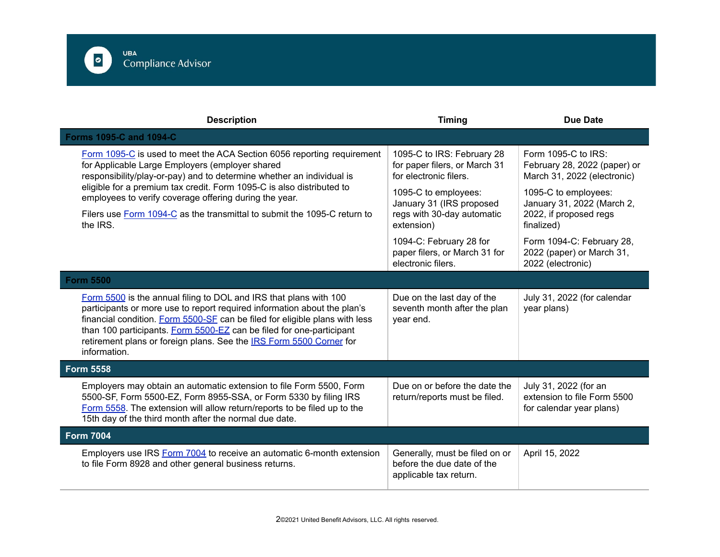

| <b>Description</b>                                                                                                                                                                                                                                                                                                                                                                          | <b>Timing</b>                                                                          | <b>Due Date</b>                                                                         |
|---------------------------------------------------------------------------------------------------------------------------------------------------------------------------------------------------------------------------------------------------------------------------------------------------------------------------------------------------------------------------------------------|----------------------------------------------------------------------------------------|-----------------------------------------------------------------------------------------|
| <b>Forms 1095-C and 1094-C</b>                                                                                                                                                                                                                                                                                                                                                              |                                                                                        |                                                                                         |
| Form 1095-C is used to meet the ACA Section 6056 reporting requirement<br>for Applicable Large Employers (employer shared<br>responsibility/play-or-pay) and to determine whether an individual is                                                                                                                                                                                          | 1095-C to IRS: February 28<br>for paper filers, or March 31<br>for electronic filers.  | Form $1095-C$ to $IRS$ :<br>February 28, 2022 (paper) or<br>March 31, 2022 (electronic) |
| eligible for a premium tax credit. Form 1095-C is also distributed to<br>employees to verify coverage offering during the year.                                                                                                                                                                                                                                                             | 1095-C to employees:<br>January 31 (IRS proposed                                       | 1095-C to employees:<br>January 31, 2022 (March 2,                                      |
| Filers use Form 1094-C as the transmittal to submit the 1095-C return to<br>the IRS.                                                                                                                                                                                                                                                                                                        | regs with 30-day automatic<br>extension)                                               | 2022, if proposed regs<br>finalized)                                                    |
|                                                                                                                                                                                                                                                                                                                                                                                             | 1094-C: February 28 for<br>paper filers, or March 31 for<br>electronic filers.         | Form 1094-C: February 28,<br>2022 (paper) or March 31,<br>2022 (electronic)             |
| <b>Form 5500</b>                                                                                                                                                                                                                                                                                                                                                                            |                                                                                        |                                                                                         |
| Form 5500 is the annual filing to DOL and IRS that plans with 100<br>participants or more use to report required information about the plan's<br>financial condition. Form 5500-SF can be filed for eligible plans with less<br>than 100 participants. Form 5500-EZ can be filed for one-participant<br>retirement plans or foreign plans. See the IRS Form 5500 Corner for<br>information. | Due on the last day of the<br>seventh month after the plan<br>year end.                | July 31, 2022 (for calendar<br>year plans)                                              |
| <b>Form 5558</b>                                                                                                                                                                                                                                                                                                                                                                            |                                                                                        |                                                                                         |
| Employers may obtain an automatic extension to file Form 5500, Form<br>5500-SF, Form 5500-EZ, Form 8955-SSA, or Form 5330 by filing IRS<br>Form 5558. The extension will allow return/reports to be filed up to the<br>15th day of the third month after the normal due date.                                                                                                               | Due on or before the date the<br>return/reports must be filed.                         | July 31, 2022 (for an<br>extension to file Form 5500<br>for calendar year plans)        |
| <b>Form 7004</b>                                                                                                                                                                                                                                                                                                                                                                            |                                                                                        |                                                                                         |
| Employers use IRS Form 7004 to receive an automatic 6-month extension<br>to file Form 8928 and other general business returns.                                                                                                                                                                                                                                                              | Generally, must be filed on or<br>before the due date of the<br>applicable tax return. | April 15, 2022                                                                          |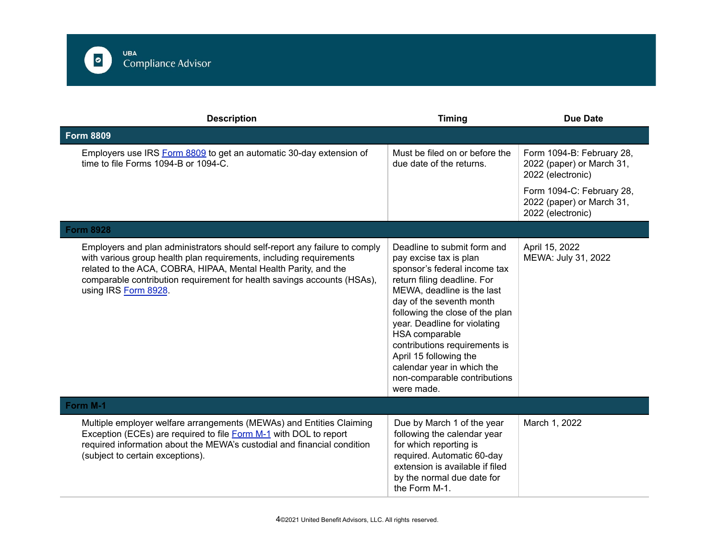

| <b>Description</b>                                                                                                                                                                                                                                                                                                      | <b>Timing</b>                                                                                                                                                                                                                                                                                                                                                                                              | <b>Due Date</b>                                                             |
|-------------------------------------------------------------------------------------------------------------------------------------------------------------------------------------------------------------------------------------------------------------------------------------------------------------------------|------------------------------------------------------------------------------------------------------------------------------------------------------------------------------------------------------------------------------------------------------------------------------------------------------------------------------------------------------------------------------------------------------------|-----------------------------------------------------------------------------|
| <b>Form 8809</b>                                                                                                                                                                                                                                                                                                        |                                                                                                                                                                                                                                                                                                                                                                                                            |                                                                             |
| Employers use IRS Form 8809 to get an automatic 30-day extension of<br>time to file Forms 1094-B or 1094-C.                                                                                                                                                                                                             | Must be filed on or before the<br>due date of the returns.                                                                                                                                                                                                                                                                                                                                                 | Form 1094-B: February 28,<br>2022 (paper) or March 31,<br>2022 (electronic) |
|                                                                                                                                                                                                                                                                                                                         |                                                                                                                                                                                                                                                                                                                                                                                                            | Form 1094-C: February 28,<br>2022 (paper) or March 31,<br>2022 (electronic) |
| <b>Form 8928</b>                                                                                                                                                                                                                                                                                                        |                                                                                                                                                                                                                                                                                                                                                                                                            |                                                                             |
| Employers and plan administrators should self-report any failure to comply<br>with various group health plan requirements, including requirements<br>related to the ACA, COBRA, HIPAA, Mental Health Parity, and the<br>comparable contribution requirement for health savings accounts (HSAs),<br>using IRS Form 8928. | Deadline to submit form and<br>pay excise tax is plan<br>sponsor's federal income tax<br>return filing deadline. For<br>MEWA, deadline is the last<br>day of the seventh month<br>following the close of the plan<br>year. Deadline for violating<br>HSA comparable<br>contributions requirements is<br>April 15 following the<br>calendar year in which the<br>non-comparable contributions<br>were made. | April 15, 2022<br>MEWA: July 31, 2022                                       |
| Form M-1                                                                                                                                                                                                                                                                                                                |                                                                                                                                                                                                                                                                                                                                                                                                            |                                                                             |
| Multiple employer welfare arrangements (MEWAs) and Entities Claiming<br>Exception (ECEs) are required to file Form M-1 with DOL to report<br>required information about the MEWA's custodial and financial condition<br>(subject to certain exceptions).                                                                | Due by March 1 of the year<br>following the calendar year<br>for which reporting is<br>required. Automatic 60-day<br>extension is available if filed<br>by the normal due date for<br>the Form M-1.                                                                                                                                                                                                        | March 1, 2022                                                               |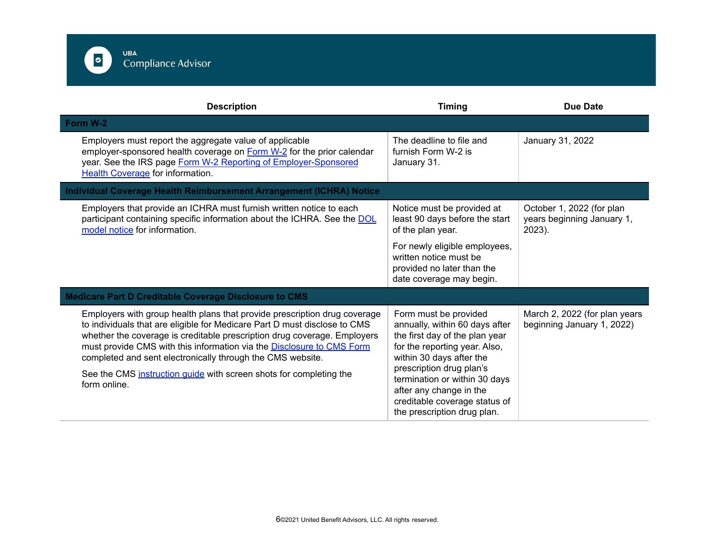

| <b>Description</b>                                                                                                                                                                                                                                                                                                                                                                                                                                              | <b>Timing</b>                                                                                                                                                                                                                                                                                                  | <b>Due Date</b>                                                   |
|-----------------------------------------------------------------------------------------------------------------------------------------------------------------------------------------------------------------------------------------------------------------------------------------------------------------------------------------------------------------------------------------------------------------------------------------------------------------|----------------------------------------------------------------------------------------------------------------------------------------------------------------------------------------------------------------------------------------------------------------------------------------------------------------|-------------------------------------------------------------------|
| Form W-2                                                                                                                                                                                                                                                                                                                                                                                                                                                        |                                                                                                                                                                                                                                                                                                                |                                                                   |
| Employers must report the aggregate value of applicable<br>employer-sponsored health coverage on Form W-2 for the prior calendar<br>year. See the IRS page Form W-2 Reporting of Employer-Sponsored<br>Health Coverage for information.                                                                                                                                                                                                                         | The deadline to file and<br>furnish Form W-2 is<br>January 31.                                                                                                                                                                                                                                                 | January 31, 2022                                                  |
| Individual Coverage Health Reimbursement Arrangement (ICHRA) Notice                                                                                                                                                                                                                                                                                                                                                                                             |                                                                                                                                                                                                                                                                                                                |                                                                   |
| Employers that provide an ICHRA must furnish written notice to each<br>participant containing specific information about the ICHRA. See the DOL<br>model notice for information.                                                                                                                                                                                                                                                                                | Notice must be provided at<br>least 90 days before the start<br>of the plan year.                                                                                                                                                                                                                              | October 1, 2022 (for plan<br>years beginning January 1,<br>2023). |
|                                                                                                                                                                                                                                                                                                                                                                                                                                                                 | For newly eligible employees,<br>written notice must be<br>provided no later than the<br>date coverage may begin.                                                                                                                                                                                              |                                                                   |
| <b>Medicare Part D Creditable Coverage Disclosure to CMS</b>                                                                                                                                                                                                                                                                                                                                                                                                    |                                                                                                                                                                                                                                                                                                                |                                                                   |
| Employers with group health plans that provide prescription drug coverage<br>to individuals that are eligible for Medicare Part D must disclose to CMS<br>whether the coverage is creditable prescription drug coverage. Employers<br>must provide CMS with this information via the Disclosure to CMS Form<br>completed and sent electronically through the CMS website.<br>See the CMS instruction guide with screen shots for completing the<br>form online. | Form must be provided<br>annually, within 60 days after<br>the first day of the plan year<br>for the reporting year. Also,<br>within 30 days after the<br>prescription drug plan's<br>termination or within 30 days<br>after any change in the<br>creditable coverage status of<br>the prescription drug plan. | March 2, 2022 (for plan years<br>beginning January 1, 2022)       |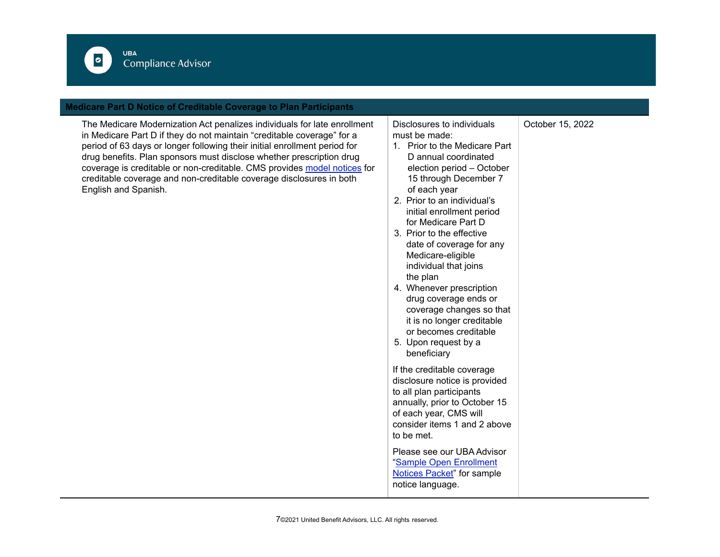

## **Medicare Part D Notice of Creditable Coverage to Plan Participants**

The Medicare Modernization Act penalizes individuals for late enrollment in Medicare Part D if they do not maintain "creditable coverage" for a period of 63 days or longer following their initial enrollment period for drug benefits. Plan sponsors must disclose whether prescription drug coverage is creditable or non-creditable. CMS provides model [notices](https://www.cms.gov/Medicare/Prescription-Drug-Coverage/CreditableCoverage/Model-Notice-Letters.html) for creditable coverage and non-creditable coverage disclosures in both English and Spanish.

Disclosures to individuals must be made:

- 1. Prior to the Medicare Part D annual coordinated election period – October 15 through December 7 of each year
- 2. Prior to an individual's initial enrollment period for Medicare Part D
- 3. Prior to the effective date of coverage for any Medicare-eligible individual that joins the plan
- 4. Whenever prescription drug coverage ends or coverage changes so that it is no longer creditable or becomes creditable
- 5. Upon request by a beneficiary

If the creditable coverage disclosure notice is provided to all plan participants annually, prior to October 15 of each year, CMS will consider items 1 and 2 above to be met.

Please see our UBA Advisor "Sample Open [Enrollment](https://f.hubspotusercontent30.net/hubfs/182985/Compliance/SampleOpenEnrollmentNotices_Sept2021.docx) [Notices](https://f.hubspotusercontent30.net/hubfs/182985/Compliance/SampleOpenEnrollmentNotices_Sept2021.docx) Packet" for sample notice language.

October 15, 2022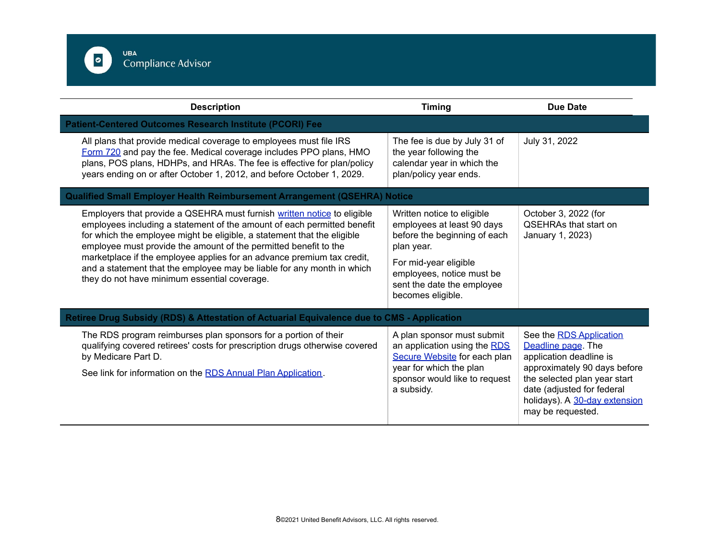

| <b>Description</b>                                                                                                                                                                                                                                                                                                                                                                                                                                                                                    | <b>Timing</b>                                                                                                                                                                                                   | <b>Due Date</b>                                                                                                                                                                                                              |
|-------------------------------------------------------------------------------------------------------------------------------------------------------------------------------------------------------------------------------------------------------------------------------------------------------------------------------------------------------------------------------------------------------------------------------------------------------------------------------------------------------|-----------------------------------------------------------------------------------------------------------------------------------------------------------------------------------------------------------------|------------------------------------------------------------------------------------------------------------------------------------------------------------------------------------------------------------------------------|
| <b>Patient-Centered Outcomes Research Institute (PCORI) Fee</b>                                                                                                                                                                                                                                                                                                                                                                                                                                       |                                                                                                                                                                                                                 |                                                                                                                                                                                                                              |
| All plans that provide medical coverage to employees must file IRS<br>Form 720 and pay the fee. Medical coverage includes PPO plans, HMO<br>plans, POS plans, HDHPs, and HRAs. The fee is effective for plan/policy<br>years ending on or after October 1, 2012, and before October 1, 2029.                                                                                                                                                                                                          | The fee is due by July 31 of<br>the year following the<br>calendar year in which the<br>plan/policy year ends.                                                                                                  | July 31, 2022                                                                                                                                                                                                                |
| <b>Qualified Small Employer Health Reimbursement Arrangement (QSEHRA) Notice</b>                                                                                                                                                                                                                                                                                                                                                                                                                      |                                                                                                                                                                                                                 |                                                                                                                                                                                                                              |
| Employers that provide a QSEHRA must furnish written notice to eligible<br>employees including a statement of the amount of each permitted benefit<br>for which the employee might be eligible, a statement that the eligible<br>employee must provide the amount of the permitted benefit to the<br>marketplace if the employee applies for an advance premium tax credit,<br>and a statement that the employee may be liable for any month in which<br>they do not have minimum essential coverage. | Written notice to eligible<br>employees at least 90 days<br>before the beginning of each<br>plan year.<br>For mid-year eligible<br>employees, notice must be<br>sent the date the employee<br>becomes eligible. | October 3, 2022 (for<br><b>OSEHRAs that start on</b><br>January 1, 2023)                                                                                                                                                     |
| Retiree Drug Subsidy (RDS) & Attestation of Actuarial Equivalence due to CMS - Application                                                                                                                                                                                                                                                                                                                                                                                                            |                                                                                                                                                                                                                 |                                                                                                                                                                                                                              |
| The RDS program reimburses plan sponsors for a portion of their<br>qualifying covered retirees' costs for prescription drugs otherwise covered<br>by Medicare Part D.<br>See link for information on the RDS Annual Plan Application.                                                                                                                                                                                                                                                                 | A plan sponsor must submit<br>an application using the RDS<br>Secure Website for each plan<br>year for which the plan<br>sponsor would like to request<br>a subsidy.                                            | See the RDS Application<br>Deadline page. The<br>application deadline is<br>approximately 90 days before<br>the selected plan year start<br>date (adjusted for federal<br>holidays). A 30-day extension<br>may be requested. |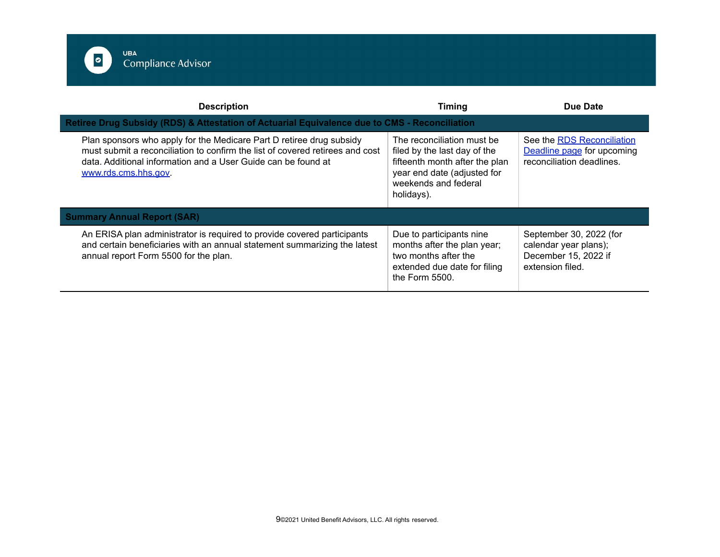

| <b>Description</b>                                                                                                                                                                                                                            | Timing                                                                                                                                                            | Due Date                                                                                     |
|-----------------------------------------------------------------------------------------------------------------------------------------------------------------------------------------------------------------------------------------------|-------------------------------------------------------------------------------------------------------------------------------------------------------------------|----------------------------------------------------------------------------------------------|
| Retiree Drug Subsidy (RDS) & Attestation of Actuarial Equivalence due to CMS - Reconciliation                                                                                                                                                 |                                                                                                                                                                   |                                                                                              |
| Plan sponsors who apply for the Medicare Part D retiree drug subsidy<br>must submit a reconciliation to confirm the list of covered retirees and cost<br>data. Additional information and a User Guide can be found at<br>www.rds.cms.hhs.gov | The reconciliation must be<br>filed by the last day of the<br>fifteenth month after the plan<br>year end date (adjusted for<br>weekends and federal<br>holidays). | See the RDS Reconciliation<br>Deadline page for upcoming<br>reconciliation deadlines.        |
| <b>Summary Annual Report (SAR)</b>                                                                                                                                                                                                            |                                                                                                                                                                   |                                                                                              |
| An ERISA plan administrator is required to provide covered participants<br>and certain beneficiaries with an annual statement summarizing the latest<br>annual report Form 5500 for the plan.                                                 | Due to participants nine<br>months after the plan year;<br>two months after the<br>extended due date for filing<br>the Form 5500.                                 | September 30, 2022 (for<br>calendar year plans);<br>December 15, 2022 if<br>extension filed. |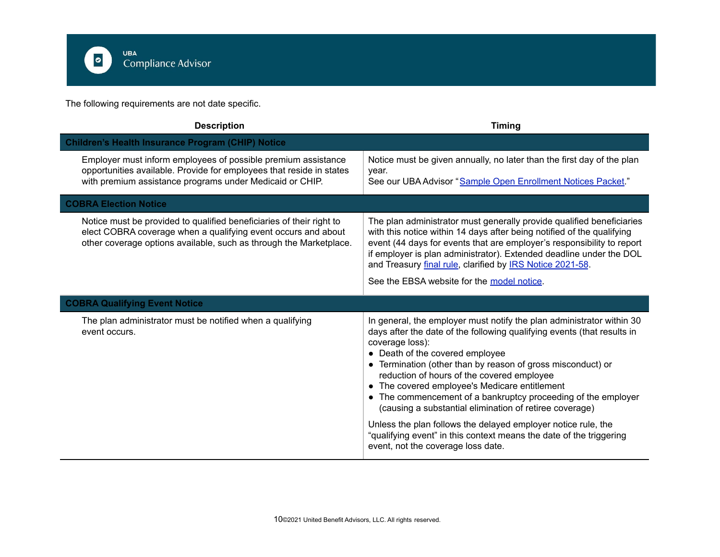

The following requirements are not date specific.

| <b>Description</b>                                                                                                                                                                                          | <b>Timing</b>                                                                                                                                                                                                                                                                                                                                                                                                                                                                                                                                                                                                                                                                  |
|-------------------------------------------------------------------------------------------------------------------------------------------------------------------------------------------------------------|--------------------------------------------------------------------------------------------------------------------------------------------------------------------------------------------------------------------------------------------------------------------------------------------------------------------------------------------------------------------------------------------------------------------------------------------------------------------------------------------------------------------------------------------------------------------------------------------------------------------------------------------------------------------------------|
| <b>Children's Health Insurance Program (CHIP) Notice</b>                                                                                                                                                    |                                                                                                                                                                                                                                                                                                                                                                                                                                                                                                                                                                                                                                                                                |
| Employer must inform employees of possible premium assistance<br>opportunities available. Provide for employees that reside in states<br>with premium assistance programs under Medicaid or CHIP.           | Notice must be given annually, no later than the first day of the plan<br>year.<br>See our UBA Advisor "Sample Open Enrollment Notices Packet."                                                                                                                                                                                                                                                                                                                                                                                                                                                                                                                                |
| <b>COBRA Election Notice</b>                                                                                                                                                                                |                                                                                                                                                                                                                                                                                                                                                                                                                                                                                                                                                                                                                                                                                |
| Notice must be provided to qualified beneficiaries of their right to<br>elect COBRA coverage when a qualifying event occurs and about<br>other coverage options available, such as through the Marketplace. | The plan administrator must generally provide qualified beneficiaries<br>with this notice within 14 days after being notified of the qualifying<br>event (44 days for events that are employer's responsibility to report<br>if employer is plan administrator). Extended deadline under the DOL<br>and Treasury final rule, clarified by <b>IRS Notice 2021-58</b> .<br>See the EBSA website for the model notice.                                                                                                                                                                                                                                                            |
| <b>COBRA Qualifying Event Notice</b>                                                                                                                                                                        |                                                                                                                                                                                                                                                                                                                                                                                                                                                                                                                                                                                                                                                                                |
| The plan administrator must be notified when a qualifying<br>event occurs.                                                                                                                                  | In general, the employer must notify the plan administrator within 30<br>days after the date of the following qualifying events (that results in<br>coverage loss):<br>• Death of the covered employee<br>• Termination (other than by reason of gross misconduct) or<br>reduction of hours of the covered employee<br>• The covered employee's Medicare entitlement<br>• The commencement of a bankruptcy proceeding of the employer<br>(causing a substantial elimination of retiree coverage)<br>Unless the plan follows the delayed employer notice rule, the<br>"qualifying event" in this context means the date of the triggering<br>event, not the coverage loss date. |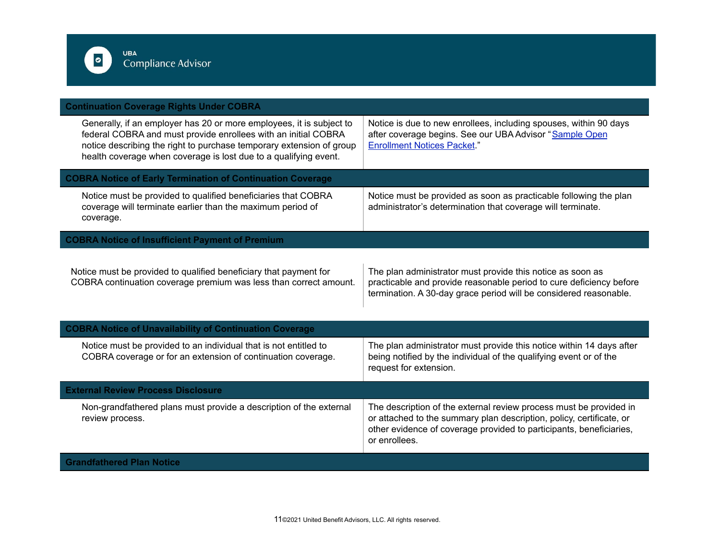

| <b>Continuation Coverage Rights Under COBRA</b>                                                                                                                                                                                                                                    |                                                                                                                                                                                                                                    |
|------------------------------------------------------------------------------------------------------------------------------------------------------------------------------------------------------------------------------------------------------------------------------------|------------------------------------------------------------------------------------------------------------------------------------------------------------------------------------------------------------------------------------|
| Generally, if an employer has 20 or more employees, it is subject to<br>federal COBRA and must provide enrollees with an initial COBRA<br>notice describing the right to purchase temporary extension of group<br>health coverage when coverage is lost due to a qualifying event. | Notice is due to new enrollees, including spouses, within 90 days<br>after coverage begins. See our UBA Advisor "Sample Open<br><b>Enrollment Notices Packet."</b>                                                                 |
| <b>COBRA Notice of Early Termination of Continuation Coverage</b>                                                                                                                                                                                                                  |                                                                                                                                                                                                                                    |
| Notice must be provided to qualified beneficiaries that COBRA<br>coverage will terminate earlier than the maximum period of<br>coverage.                                                                                                                                           | Notice must be provided as soon as practicable following the plan<br>administrator's determination that coverage will terminate.                                                                                                   |
| <b>COBRA Notice of Insufficient Payment of Premium</b>                                                                                                                                                                                                                             |                                                                                                                                                                                                                                    |
| Notice must be provided to qualified beneficiary that payment for<br>COBRA continuation coverage premium was less than correct amount.                                                                                                                                             | The plan administrator must provide this notice as soon as<br>practicable and provide reasonable period to cure deficiency before<br>termination. A 30-day grace period will be considered reasonable.                             |
| <b>COBRA Notice of Unavailability of Continuation Coverage</b>                                                                                                                                                                                                                     |                                                                                                                                                                                                                                    |
| Notice must be provided to an individual that is not entitled to<br>COBRA coverage or for an extension of continuation coverage.                                                                                                                                                   | The plan administrator must provide this notice within 14 days after<br>being notified by the individual of the qualifying event or of the<br>request for extension.                                                               |
| <b>External Review Process Disclosure</b>                                                                                                                                                                                                                                          |                                                                                                                                                                                                                                    |
| Non-grandfathered plans must provide a description of the external<br>review process.                                                                                                                                                                                              | The description of the external review process must be provided in<br>or attached to the summary plan description, policy, certificate, or<br>other evidence of coverage provided to participants, beneficiaries,<br>or enrollees. |
| <b>Grandfathered Plan Notice</b>                                                                                                                                                                                                                                                   |                                                                                                                                                                                                                                    |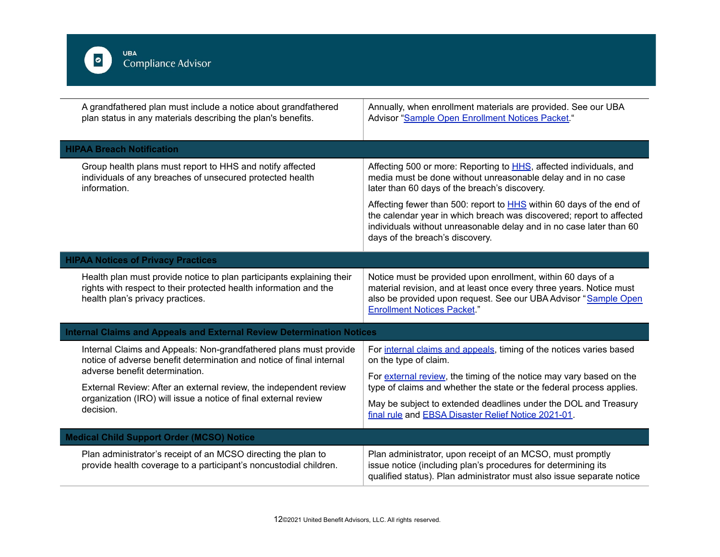

|                                                                                                                                                                                     | A grandfathered plan must include a notice about grandfathered<br>plan status in any materials describing the plan's benefits.              | Annually, when enrollment materials are provided. See our UBA<br>Advisor "Sample Open Enrollment Notices Packet."                                                                                                                                             |
|-------------------------------------------------------------------------------------------------------------------------------------------------------------------------------------|---------------------------------------------------------------------------------------------------------------------------------------------|---------------------------------------------------------------------------------------------------------------------------------------------------------------------------------------------------------------------------------------------------------------|
| <b>HIPAA Breach Notification</b>                                                                                                                                                    |                                                                                                                                             |                                                                                                                                                                                                                                                               |
| information.                                                                                                                                                                        | Group health plans must report to HHS and notify affected<br>individuals of any breaches of unsecured protected health                      | Affecting 500 or more: Reporting to <b>HHS</b> , affected individuals, and<br>media must be done without unreasonable delay and in no case<br>later than 60 days of the breach's discovery.                                                                   |
|                                                                                                                                                                                     |                                                                                                                                             | Affecting fewer than 500: report to <b>HHS</b> within 60 days of the end of<br>the calendar year in which breach was discovered; report to affected<br>individuals without unreasonable delay and in no case later than 60<br>days of the breach's discovery. |
| <b>HIPAA Notices of Privacy Practices</b>                                                                                                                                           |                                                                                                                                             |                                                                                                                                                                                                                                                               |
| health plan's privacy practices.                                                                                                                                                    | Health plan must provide notice to plan participants explaining their<br>rights with respect to their protected health information and the  | Notice must be provided upon enrollment, within 60 days of a<br>material revision, and at least once every three years. Notice must<br>also be provided upon request. See our UBA Advisor "Sample Open<br><b>Enrollment Notices Packet."</b>                  |
|                                                                                                                                                                                     | <b>Internal Claims and Appeals and External Review Determination Notices</b>                                                                |                                                                                                                                                                                                                                                               |
|                                                                                                                                                                                     | Internal Claims and Appeals: Non-grandfathered plans must provide<br>notice of adverse benefit determination and notice of final internal   | For internal claims and appeals, timing of the notices varies based<br>on the type of claim.                                                                                                                                                                  |
| adverse benefit determination.<br>External Review: After an external review, the independent review<br>organization (IRO) will issue a notice of final external review<br>decision. | For external review, the timing of the notice may vary based on the<br>type of claims and whether the state or the federal process applies. |                                                                                                                                                                                                                                                               |
|                                                                                                                                                                                     | May be subject to extended deadlines under the DOL and Treasury<br>final rule and EBSA Disaster Relief Notice 2021-01.                      |                                                                                                                                                                                                                                                               |
| <b>Medical Child Support Order (MCSO) Notice</b>                                                                                                                                    |                                                                                                                                             |                                                                                                                                                                                                                                                               |
|                                                                                                                                                                                     | Plan administrator's receipt of an MCSO directing the plan to<br>provide health coverage to a participant's noncustodial children.          | Plan administrator, upon receipt of an MCSO, must promptly<br>issue notice (including plan's procedures for determining its<br>qualified status). Plan administrator must also issue separate notice                                                          |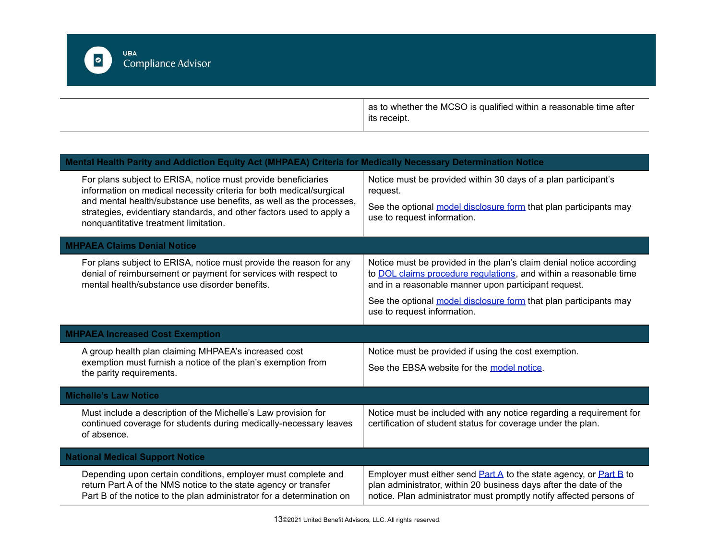uва<br>Compliance Advisor

 $\boxed{\circ}$ 

as to whether the MCSO is qualified within a reasonable time after its receipt.

| Mental Health Parity and Addiction Equity Act (MHPAEA) Criteria for Medically Necessary Determination Notice                                                                                                                                                                                                                 |                                                                                                                                                                                                                    |
|------------------------------------------------------------------------------------------------------------------------------------------------------------------------------------------------------------------------------------------------------------------------------------------------------------------------------|--------------------------------------------------------------------------------------------------------------------------------------------------------------------------------------------------------------------|
| For plans subject to ERISA, notice must provide beneficiaries<br>information on medical necessity criteria for both medical/surgical<br>and mental health/substance use benefits, as well as the processes,<br>strategies, evidentiary standards, and other factors used to apply a<br>nonquantitative treatment limitation. | Notice must be provided within 30 days of a plan participant's<br>request.                                                                                                                                         |
|                                                                                                                                                                                                                                                                                                                              | See the optional model disclosure form that plan participants may<br>use to request information.                                                                                                                   |
| <b>MHPAEA Claims Denial Notice</b>                                                                                                                                                                                                                                                                                           |                                                                                                                                                                                                                    |
| For plans subject to ERISA, notice must provide the reason for any<br>denial of reimbursement or payment for services with respect to<br>mental health/substance use disorder benefits.                                                                                                                                      | Notice must be provided in the plan's claim denial notice according<br>to DOL claims procedure regulations, and within a reasonable time<br>and in a reasonable manner upon participant request.                   |
|                                                                                                                                                                                                                                                                                                                              | See the optional model disclosure form that plan participants may<br>use to request information.                                                                                                                   |
| <b>MHPAEA Increased Cost Exemption</b>                                                                                                                                                                                                                                                                                       |                                                                                                                                                                                                                    |
| A group health plan claiming MHPAEA's increased cost                                                                                                                                                                                                                                                                         | Notice must be provided if using the cost exemption.                                                                                                                                                               |
| exemption must furnish a notice of the plan's exemption from<br>the parity requirements.                                                                                                                                                                                                                                     | See the EBSA website for the model notice.                                                                                                                                                                         |
| <b>Michelle's Law Notice</b>                                                                                                                                                                                                                                                                                                 |                                                                                                                                                                                                                    |
| Must include a description of the Michelle's Law provision for<br>continued coverage for students during medically-necessary leaves<br>of absence.                                                                                                                                                                           | Notice must be included with any notice regarding a requirement for<br>certification of student status for coverage under the plan.                                                                                |
| <b>National Medical Support Notice</b>                                                                                                                                                                                                                                                                                       |                                                                                                                                                                                                                    |
| Depending upon certain conditions, employer must complete and<br>return Part A of the NMS notice to the state agency or transfer<br>Part B of the notice to the plan administrator for a determination on                                                                                                                    | Employer must either send $Part A$ to the state agency, or $Part B$ to<br>plan administrator, within 20 business days after the date of the<br>notice. Plan administrator must promptly notify affected persons of |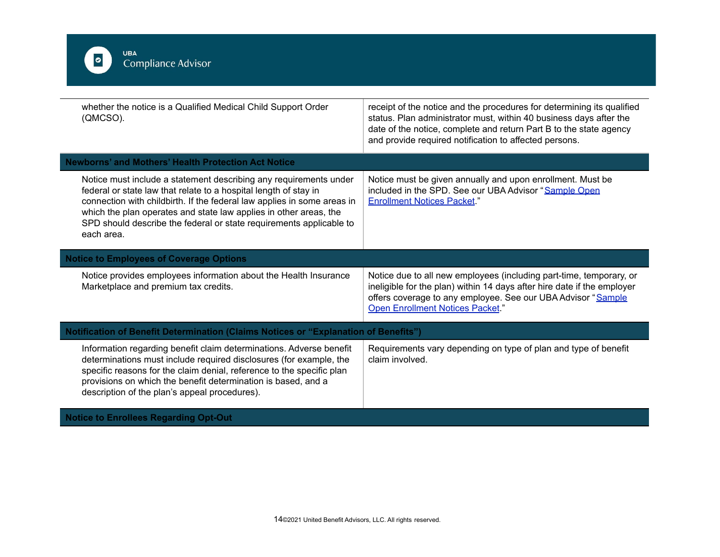

**Notice to Enrollees Regarding Opt-Out**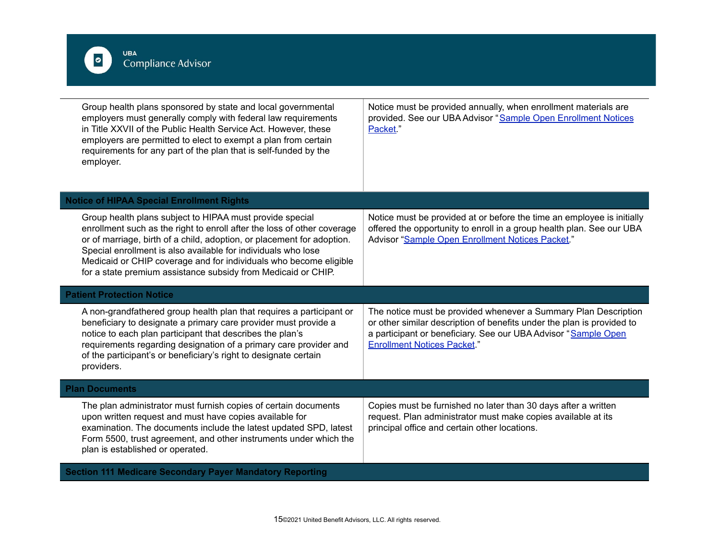

| Group health plans sponsored by state and local governmental<br>employers must generally comply with federal law requirements<br>in Title XXVII of the Public Health Service Act. However, these<br>employers are permitted to elect to exempt a plan from certain<br>requirements for any part of the plan that is self-funded by the<br>employer.                                                                  | Notice must be provided annually, when enrollment materials are<br>provided. See our UBA Advisor "Sample Open Enrollment Notices<br>Packet."                                                                                                      |
|----------------------------------------------------------------------------------------------------------------------------------------------------------------------------------------------------------------------------------------------------------------------------------------------------------------------------------------------------------------------------------------------------------------------|---------------------------------------------------------------------------------------------------------------------------------------------------------------------------------------------------------------------------------------------------|
| <b>Notice of HIPAA Special Enrollment Rights</b>                                                                                                                                                                                                                                                                                                                                                                     |                                                                                                                                                                                                                                                   |
| Group health plans subject to HIPAA must provide special<br>enrollment such as the right to enroll after the loss of other coverage<br>or of marriage, birth of a child, adoption, or placement for adoption.<br>Special enrollment is also available for individuals who lose<br>Medicaid or CHIP coverage and for individuals who become eligible<br>for a state premium assistance subsidy from Medicaid or CHIP. | Notice must be provided at or before the time an employee is initially<br>offered the opportunity to enroll in a group health plan. See our UBA<br>Advisor "Sample Open Enrollment Notices Packet."                                               |
| <b>Patient Protection Notice</b>                                                                                                                                                                                                                                                                                                                                                                                     |                                                                                                                                                                                                                                                   |
| A non-grandfathered group health plan that requires a participant or<br>beneficiary to designate a primary care provider must provide a<br>notice to each plan participant that describes the plan's<br>requirements regarding designation of a primary care provider and<br>of the participant's or beneficiary's right to designate certain<br>providers.                                                          | The notice must be provided whenever a Summary Plan Description<br>or other similar description of benefits under the plan is provided to<br>a participant or beneficiary. See our UBA Advisor "Sample Open<br><b>Enrollment Notices Packet."</b> |
| <b>Plan Documents</b>                                                                                                                                                                                                                                                                                                                                                                                                |                                                                                                                                                                                                                                                   |
| The plan administrator must furnish copies of certain documents<br>upon written request and must have copies available for<br>examination. The documents include the latest updated SPD, latest<br>Form 5500, trust agreement, and other instruments under which the<br>plan is established or operated.                                                                                                             | Copies must be furnished no later than 30 days after a written<br>request. Plan administrator must make copies available at its<br>principal office and certain other locations.                                                                  |
| <b>Section 111 Medicare Secondary Payer Mandatory Reporting</b>                                                                                                                                                                                                                                                                                                                                                      |                                                                                                                                                                                                                                                   |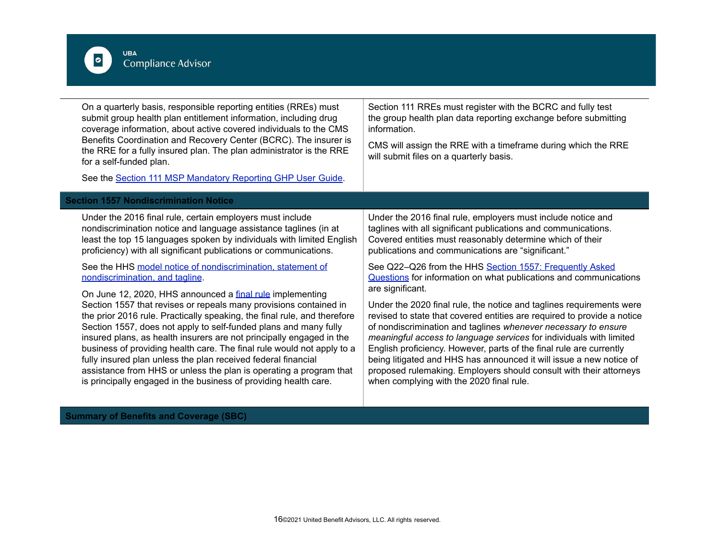

**Summary of Benefits and Coverage (SBC)**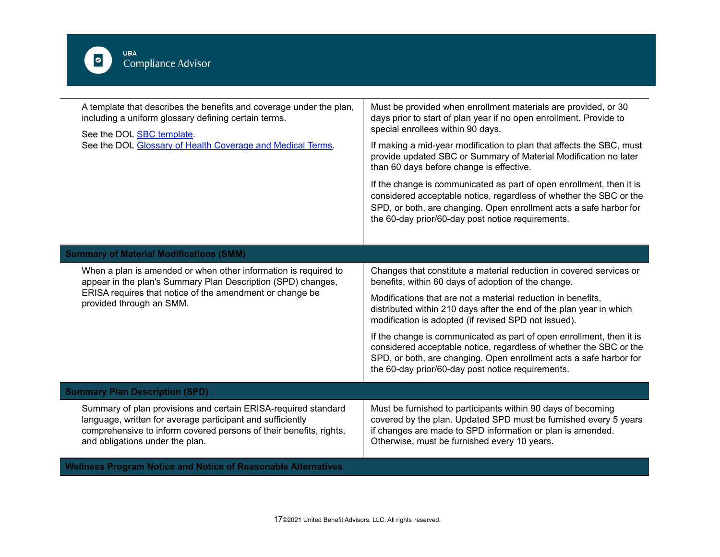

L,

| A template that describes the benefits and coverage under the plan,<br>including a uniform glossary defining certain terms.<br>See the DOL SBC template.<br>See the DOL Glossary of Health Coverage and Medical Terms.                | Must be provided when enrollment materials are provided, or 30<br>days prior to start of plan year if no open enrollment. Provide to<br>special enrollees within 90 days.<br>If making a mid-year modification to plan that affects the SBC, must<br>provide updated SBC or Summary of Material Modification no later<br>than 60 days before change is effective.<br>If the change is communicated as part of open enrollment, then it is |
|---------------------------------------------------------------------------------------------------------------------------------------------------------------------------------------------------------------------------------------|-------------------------------------------------------------------------------------------------------------------------------------------------------------------------------------------------------------------------------------------------------------------------------------------------------------------------------------------------------------------------------------------------------------------------------------------|
|                                                                                                                                                                                                                                       | considered acceptable notice, regardless of whether the SBC or the<br>SPD, or both, are changing. Open enrollment acts a safe harbor for<br>the 60-day prior/60-day post notice requirements.                                                                                                                                                                                                                                             |
| <b>Summary of Material Modifications (SMM)</b>                                                                                                                                                                                        |                                                                                                                                                                                                                                                                                                                                                                                                                                           |
| When a plan is amended or when other information is required to<br>appear in the plan's Summary Plan Description (SPD) changes,<br>ERISA requires that notice of the amendment or change be<br>provided through an SMM.               | Changes that constitute a material reduction in covered services or<br>benefits, within 60 days of adoption of the change.                                                                                                                                                                                                                                                                                                                |
|                                                                                                                                                                                                                                       | Modifications that are not a material reduction in benefits,<br>distributed within 210 days after the end of the plan year in which<br>modification is adopted (if revised SPD not issued).                                                                                                                                                                                                                                               |
|                                                                                                                                                                                                                                       | If the change is communicated as part of open enrollment, then it is<br>considered acceptable notice, regardless of whether the SBC or the<br>SPD, or both, are changing. Open enrollment acts a safe harbor for<br>the 60-day prior/60-day post notice requirements.                                                                                                                                                                     |
| <b>Summary Plan Description (SPD)</b>                                                                                                                                                                                                 |                                                                                                                                                                                                                                                                                                                                                                                                                                           |
| Summary of plan provisions and certain ERISA-required standard<br>language, written for average participant and sufficiently<br>comprehensive to inform covered persons of their benefits, rights,<br>and obligations under the plan. | Must be furnished to participants within 90 days of becoming<br>covered by the plan. Updated SPD must be furnished every 5 years<br>if changes are made to SPD information or plan is amended.<br>Otherwise, must be furnished every 10 years.                                                                                                                                                                                            |
| <b>Wellness Program Notice and Notice of Reasonable Alternatives</b>                                                                                                                                                                  |                                                                                                                                                                                                                                                                                                                                                                                                                                           |